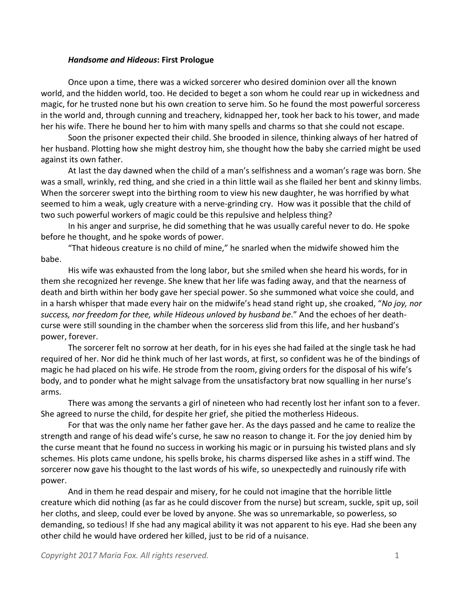## *Handsome and Hideous***: First Prologue**

Once upon a time, there was a wicked sorcerer who desired dominion over all the known world, and the hidden world, too. He decided to beget a son whom he could rear up in wickedness and magic, for he trusted none but his own creation to serve him. So he found the most powerful sorceress in the world and, through cunning and treachery, kidnapped her, took her back to his tower, and made her his wife. There he bound her to him with many spells and charms so that she could not escape.

Soon the prisoner expected their child. She brooded in silence, thinking always of her hatred of her husband. Plotting how she might destroy him, she thought how the baby she carried might be used against its own father.

At last the day dawned when the child of a man's selfishness and a woman's rage was born. She was a small, wrinkly, red thing, and she cried in a thin little wail as she flailed her bent and skinny limbs. When the sorcerer swept into the birthing room to view his new daughter, he was horrified by what seemed to him a weak, ugly creature with a nerve-grinding cry. How was it possible that the child of two such powerful workers of magic could be this repulsive and helpless thing?

In his anger and surprise, he did something that he was usually careful never to do. He spoke before he thought, and he spoke words of power.

"That hideous creature is no child of mine," he snarled when the midwife showed him the babe.

His wife was exhausted from the long labor, but she smiled when she heard his words, for in them she recognized her revenge. She knew that her life was fading away, and that the nearness of death and birth within her body gave her special power. So she summoned what voice she could, and in a harsh whisper that made every hair on the midwife's head stand right up, she croaked, "*No joy, nor success, nor freedom for thee, while Hideous unloved by husband be*." And the echoes of her deathcurse were still sounding in the chamber when the sorceress slid from this life, and her husband's power, forever.

The sorcerer felt no sorrow at her death, for in his eyes she had failed at the single task he had required of her. Nor did he think much of her last words, at first, so confident was he of the bindings of magic he had placed on his wife. He strode from the room, giving orders for the disposal of his wife's body, and to ponder what he might salvage from the unsatisfactory brat now squalling in her nurse's arms.

There was among the servants a girl of nineteen who had recently lost her infant son to a fever. She agreed to nurse the child, for despite her grief, she pitied the motherless Hideous.

For that was the only name her father gave her. As the days passed and he came to realize the strength and range of his dead wife's curse, he saw no reason to change it. For the joy denied him by the curse meant that he found no success in working his magic or in pursuing his twisted plans and sly schemes. His plots came undone, his spells broke, his charms dispersed like ashes in a stiff wind. The sorcerer now gave his thought to the last words of his wife, so unexpectedly and ruinously rife with power.

And in them he read despair and misery, for he could not imagine that the horrible little creature which did nothing (as far as he could discover from the nurse) but scream, suckle, spit up, soil her cloths, and sleep, could ever be loved by anyone. She was so unremarkable, so powerless, so demanding, so tedious! If she had any magical ability it was not apparent to his eye. Had she been any other child he would have ordered her killed, just to be rid of a nuisance.